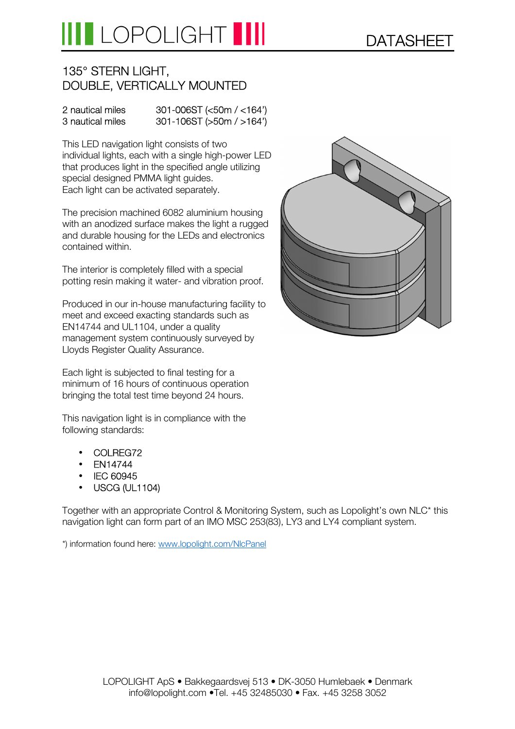# LOPOLIGHT III

### 135° STERN LIGHT, DOUBLE, VERTICALLY MOUNTED

#### 2 nautical miles 301-006ST (<50m / <164') 3 nautical miles 301-106ST (>50m / >164')

This LED navigation light consists of two individual lights, each with a single high-power LED that produces light in the specified angle utilizing special designed PMMA light guides. Each light can be activated separately.

The precision machined 6082 aluminium housing with an anodized surface makes the light a rugged and durable housing for the LEDs and electronics contained within.

The interior is completely filled with a special potting resin making it water- and vibration proof.

Produced in our in-house manufacturing facility to meet and exceed exacting standards such as EN14744 and UL1104, under a quality management system continuously surveyed by Lloyds Register Quality Assurance.

Each light is subjected to final testing for a minimum of 16 hours of continuous operation bringing the total test time beyond 24 hours.

This navigation light is in compliance with the following standards:

- COLREG72
- EN14744
- IEC 60945
- USCG (UL1104)

Together with an appropriate Control & Monitoring System, such as Lopolight's own NLC\* this navigation light can form part of an IMO MSC 253(83), LY3 and LY4 compliant system.

\*) information found here: www.lopolight.com/NlcPanel

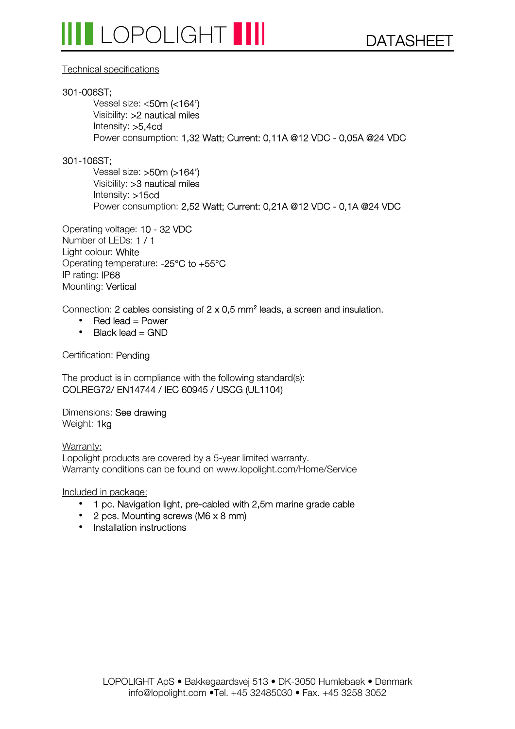#### Technical specifications

#### 301-006ST;

Vessel size: <50m (<164') Visibility: >2 nautical miles Intensity: >5,4cd Power consumption: 1,32 Watt; Current: 0,11A @12 VDC - 0,05A @24 VDC

#### 301-106ST;

Vessel size: >50m (>164') Visibility: >3 nautical miles Intensity: >15cd Power consumption: 2,52 Watt; Current: 0,21A @12 VDC - 0,1A @24 VDC

Operating voltage: 10 - 32 VDC Number of LEDs: 1 / 1 Light colour: White Operating temperature: -25°C to +55°C IP rating: IP68 Mounting: Vertical

Connection: 2 cables consisting of  $2 \times 0.5$  mm<sup>2</sup> leads, a screen and insulation.

- Red lead  $=$  Power
- $\bullet$  Black lead = GND

Certification: Pending

The product is in compliance with the following standard(s): COLREG72/ EN14744 / IEC 60945 / USCG (UL1104)

Dimensions: See drawing Weight: 1kg

Warranty: Lopolight products are covered by a 5-year limited warranty. Warranty conditions can be found on www.lopolight.com/Home/Service

Included in package:

- 1 pc. Navigation light, pre-cabled with 2,5m marine grade cable
- 2 pcs. Mounting screws (M6 x 8 mm)
- Installation instructions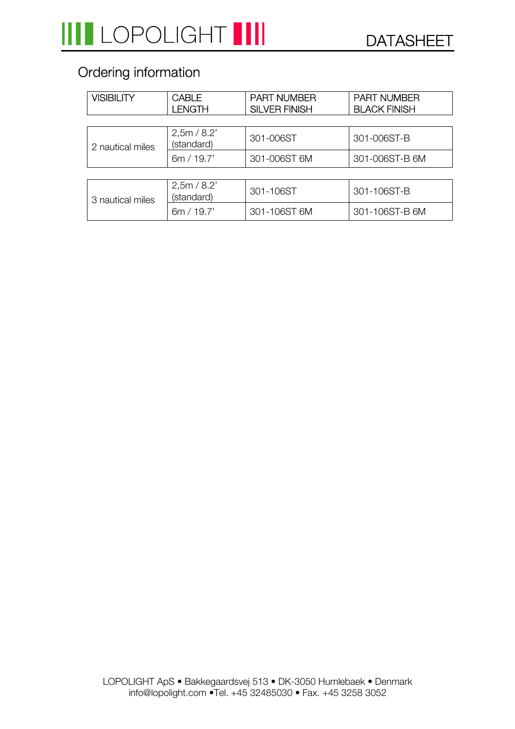## Ordering information

| <b>VISIBILITY</b> | <b>CABLE</b><br><b>LENGTH</b> | <b>PART NUMBER</b><br><b>SILVER FINISH</b> | <b>PART NUMBER</b><br><b>BLACK FINISH</b> |
|-------------------|-------------------------------|--------------------------------------------|-------------------------------------------|
|                   |                               |                                            |                                           |
| 2 nautical miles  | 2,5m/8.2'<br>(standard)       | 301-006ST                                  | 301-006ST-B                               |
|                   | 6m / 19.7'                    | 301-006ST 6M                               | 301-006ST-B 6M                            |
|                   |                               |                                            |                                           |
| 3 nautical miles  | 2,5m/8.2'<br>(standard)       | 301-106ST                                  | 301-106ST-B                               |
|                   | 6m / 19.7'                    | 301-106ST 6M                               | 301-106ST-B 6M                            |